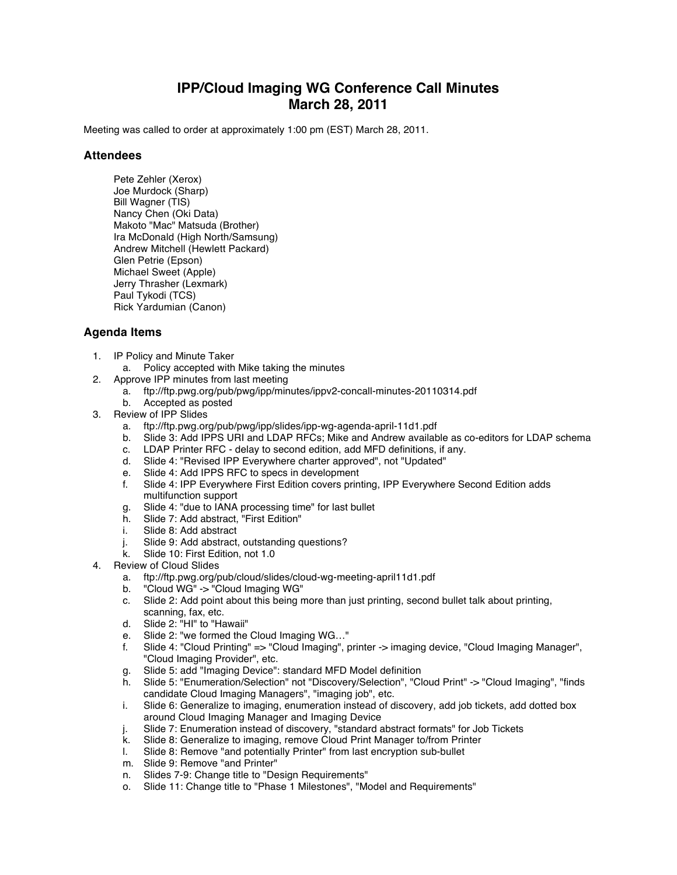## **IPP/Cloud Imaging WG Conference Call Minutes March 28, 2011**

Meeting was called to order at approximately 1:00 pm (EST) March 28, 2011.

## **Attendees**

Pete Zehler (Xerox) Joe Murdock (Sharp) Bill Wagner (TIS) Nancy Chen (Oki Data) Makoto "Mac" Matsuda (Brother) Ira McDonald (High North/Samsung) Andrew Mitchell (Hewlett Packard) Glen Petrie (Epson) Michael Sweet (Apple) Jerry Thrasher (Lexmark) Paul Tykodi (TCS) Rick Yardumian (Canon)

## **Agenda Items**

- 1. IP Policy and Minute Taker
	- a. Policy accepted with Mike taking the minutes
- 2. Approve IPP minutes from last meeting
	- a. ftp://ftp.pwg.org/pub/pwg/ipp/minutes/ippv2-concall-minutes-20110314.pdf
	- b. Accepted as posted
- 3. Review of IPP Slides
	- a. ftp://ftp.pwg.org/pub/pwg/ipp/slides/ipp-wg-agenda-april-11d1.pdf
	- Slide 3: Add IPPS URI and LDAP RFCs; Mike and Andrew available as co-editors for LDAP schema<br>LDAP Printer RFC delay to second edition, add MFD definitions, if any.
	- c. LDAP Printer RFC delay to second edition, add MFD definitions, if any.
	- d. Slide 4: "Revised IPP Everywhere charter approved", not "Updated"
	- e. Slide 4: Add IPPS RFC to specs in development
	- f. Slide 4: IPP Everywhere First Edition covers printing, IPP Everywhere Second Edition adds multifunction support
	- g. Slide 4: "due to IANA processing time" for last bullet h. Slide 7: Add abstract, "First Edition"
	- Slide 7: Add abstract, "First Edition"
	- i. Slide 8: Add abstract
	- j. Slide 9: Add abstract, outstanding questions?<br>k. Slide 10: First Edition. not 1.0
	- Slide 10: First Edition, not 1.0
- 4. Review of Cloud Slides
	- a. ftp://ftp.pwg.org/pub/cloud/slides/cloud-wg-meeting-april11d1.pdf
	- b. "Cloud WG" -> "Cloud Imaging WG"
	- c. Slide 2: Add point about this being more than just printing, second bullet talk about printing, scanning, fax, etc.
	- d. Slide 2: "HI" to "Hawaii"
	- Slide 2: "we formed the Cloud Imaging WG..."
	- f. Slide 4: "Cloud Printing" => "Cloud Imaging", printer -> imaging device, "Cloud Imaging Manager", "Cloud Imaging Provider", etc.
	- g. Slide 5: add "Imaging Device": standard MFD Model definition
	- h. Slide 5: "Enumeration/Selection" not "Discovery/Selection", "Cloud Print" -> "Cloud Imaging", "finds candidate Cloud Imaging Managers", "imaging job", etc.
	- i. Slide 6: Generalize to imaging, enumeration instead of discovery, add job tickets, add dotted box around Cloud Imaging Manager and Imaging Device
	- j. Slide 7: Enumeration instead of discovery, "standard abstract formats" for Job Tickets
	-
	- k. Slide 8: Generalize to imaging, remove Cloud Print Manager to/from Printer Slide 8: Remove "and potentially Printer" from last encryption sub-bullet
	- m. Slide 9: Remove "and Printer"
	- n. Slides 7-9: Change title to "Design Requirements"
	- o. Slide 11: Change title to "Phase 1 Milestones", "Model and Requirements"